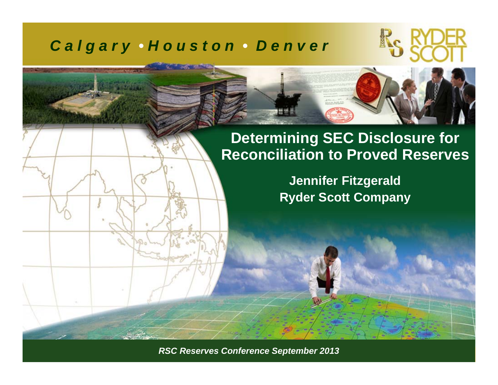### *C a l g a r y • H o u s t o n • D e n v e r*





**Jennifer Fitzgerald Ryder Scott Company**

*RSC Reserves Conference September 2011 ©Ryder Scott Company, L.P. RSC Reserves Conference September 2013*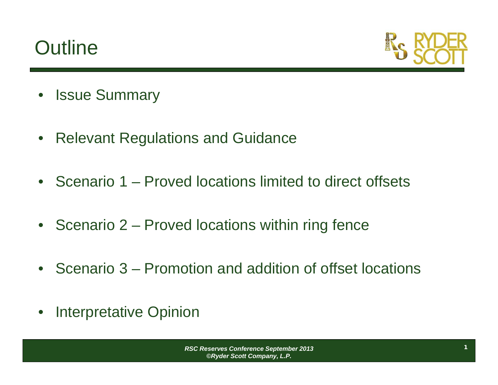# **Outline**



- Issue Summary
- $\bullet$ Relevant Regulations and Guidance
- Scenario 1 Proved locations limited to direct offsets
- Scenario 2 Proved locations within ring fence
- Scenario 3 Promotion and addition of offset locations
- $\bullet$ Interpretative Opinion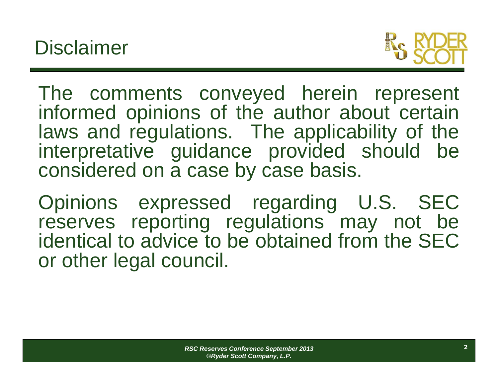

The comments conveyed herein represent informed opinions of the author about certain laws and regulations. The applicability of the interpretative guidance provided should be considered on <sup>a</sup> case by case basis.

Opinions expressed regarding U.S. SEC reserves reporting regulations may not be identical to advice to be obtained from the SECor other legal council.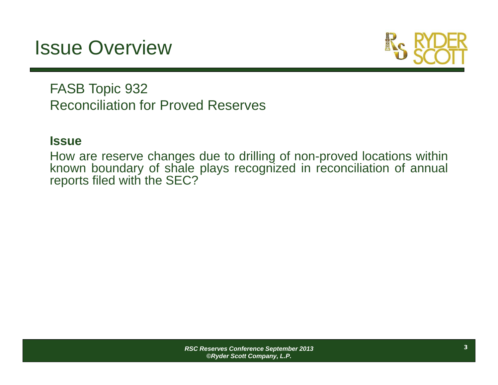# Issue Overview



FASB Topic 932 Reconciliation for Proved Reserves

#### **Issue**

How are reserve changes due to drilling of non-proved locations within known boundary of shale plays recognized in reconciliation of annual reports filed with the SEC?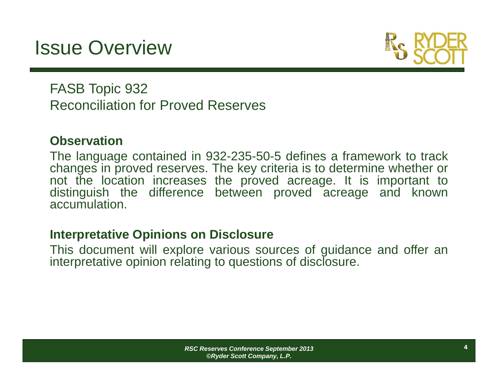# Issue Overview



FASB Topic 932 Reconciliation for Proved Reserves

#### **Observation**

The language contained in 932-235-50-5 defines <sup>a</sup> framework to track changes in proved reserves. The key criteria is to determine whether or not the location increases the proved acreage. It is important to distinguish the difference between proved acreage and known accumulation.

#### **Interpretative Opinions on Disclosure**

This document will explore various sources of guidance and offer an interpretative opinion relating to questions of disclosure.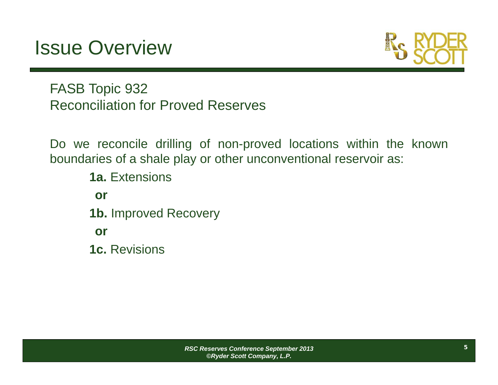## Issue Overview



FASB Topic 932 Reconciliation for Proved Reserves

Do we reconcile drilling of non-proved locations within the known boundaries of <sup>a</sup> shale play or other unconventional reservoir as:

**1a.** Extensions**or1b.** Improved Recovery **or1c.** Revisions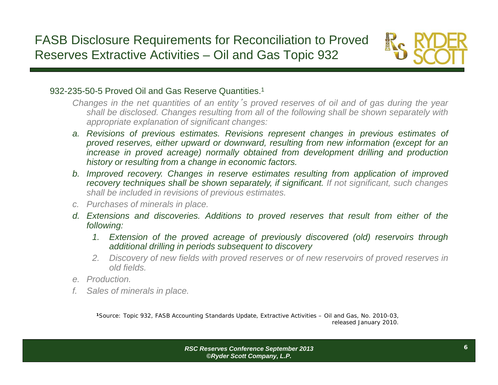

#### 932-235-50-5 Proved Oil and Gas Reserve Quantities.1

- Changes in the net quantities of an entity's proved reserves of oil and of gas during the year shall be disclosed. Changes resulting from all of the following shall be shown separately with *appropriate explanation of significant changes:*
- a. Revisions of previous estimates. Revisions represent changes in previous estimates of proved reserves, either upward or downward, resulting from new information (except for an increase in proved acreage) normally obtained from development drilling and production *history or resulting from <sup>a</sup> change in economic factors.*
- b. Improved recovery. Changes in reserve estimates resulting from application of improved recovery techniques shall be shown separately, if significant. If not significant, such changes *shall be included in revisions of previous estimates.*
- *c. Purchases of minerals in place.*
- d. Extensions and discoveries. Additions to proved reserves that result from either of the *following:*
	- 1. Extension of the proved acreage of previously discovered (old) reservoirs through *additional drilling in periods subsequent to discovery*
	- 2. Discovery of new fields with proved reserves or of new reservoirs of proved reserves in *old fields.*
- *e. Production.*
- *f. Sales of minerals in place.*

**<sup>1</sup>**Source: Topic 932, FASB Accounting Standards Update, Extractive Activities – Oil and Gas, No. 2010-03, released January 2010.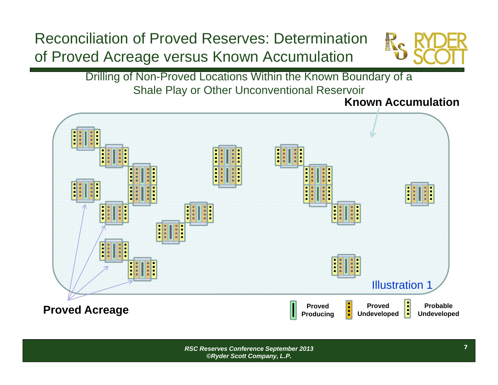### Reconciliation of Proved Reserves: Determination of Proved Acreage versus Known Accumulation



Drilling of Non-Proved Locations Within the Known Boundary of a Shale Play or Other Unconventional Reservoir

**Known Accumulation**

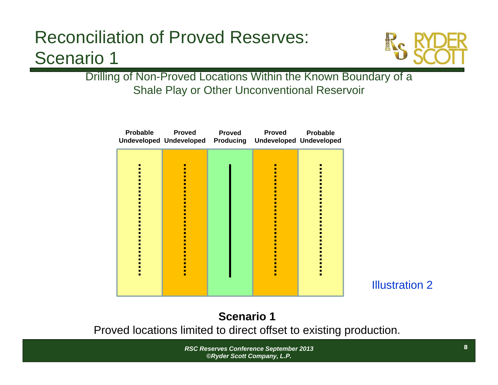

Drilling of Non-Proved Locations Within the Known Boundary of a Shale Play or Other Unconventional Reservoir

| <b>Probable</b> | <b>Proved</b><br>Undeveloped Undeveloped Producing Undeveloped Undeveloped | <b>Proved</b> | <b>Proved</b> | <b>Probable</b> |
|-----------------|----------------------------------------------------------------------------|---------------|---------------|-----------------|
|                 |                                                                            |               |               |                 |

Illustration 2

**Scenario 1**Proved locations limited to direct offset to existing production.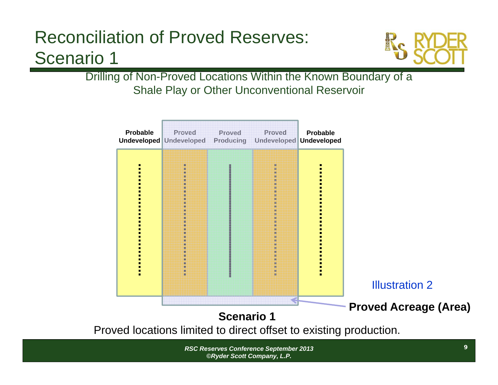

Drilling of Non-Proved Locations Within the Known Boundary of a Shale Play or Other Unconventional Reservoir

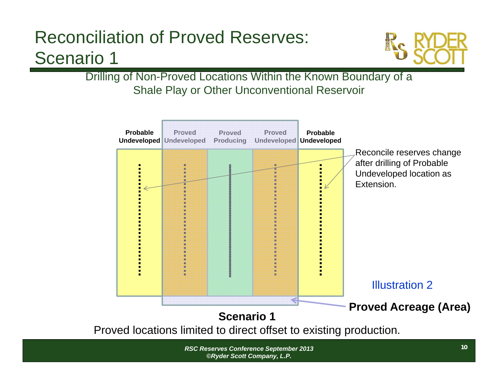

Drilling of Non-Proved Locations Within the Known Boundary of a Shale Play or Other Unconventional Reservoir

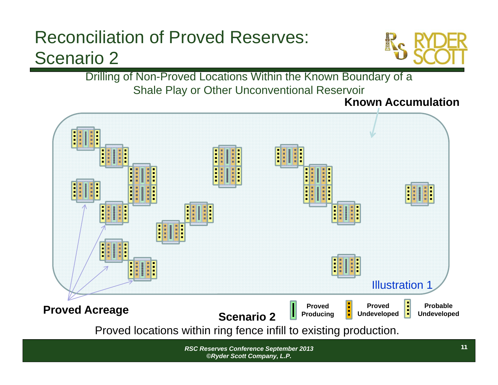

Drilling of Non-Proved Locations Within the Known Boundary of a Shale Play or Other Unconventional Reservoir

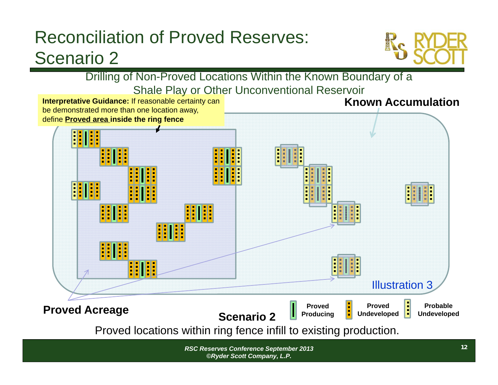

Drilling of Non-Proved Locations Within the Known Boundary of a Shale Play or Other Unconventional Reservoir

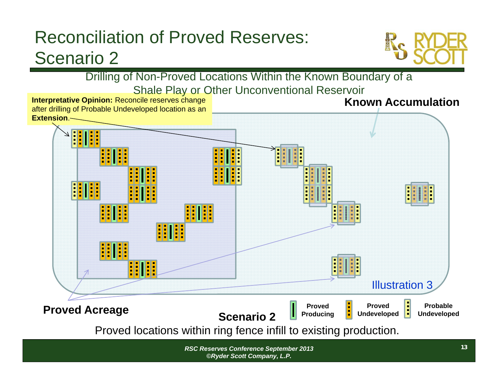

Drilling of Non-Proved Locations Within the Known Boundary of a Shale Play or Other Unconventional Reservoir

**Interpretative Opinion:** Reconcile reserves change after drilling of Probable Undeveloped location as an **Extension**.

#### **Known Accumulation**

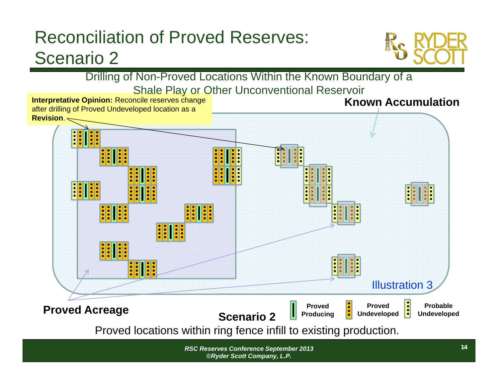

Drilling of Non-Proved Locations Within the Known Boundary of a Shale Play or Other Unconventional Reservoir

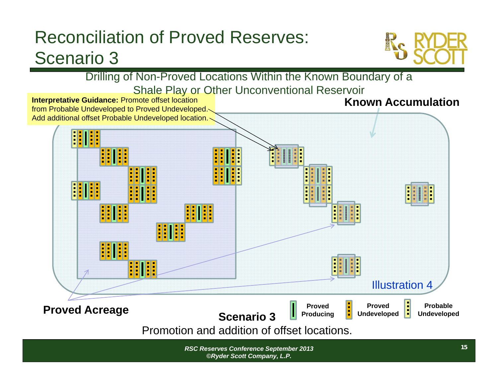

Drilling of Non-Proved Locations Within the Known Boundary of a Shale Play or Other Unconventional Reservoir

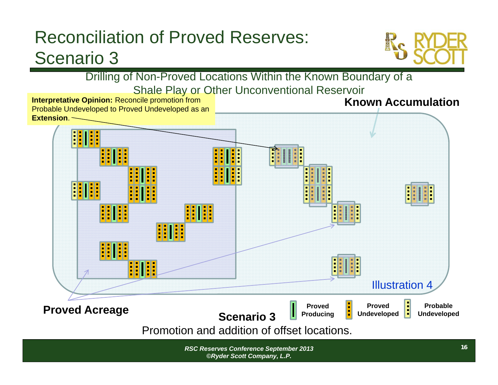

Drilling of Non-Proved Locations Within the Known Boundary of a Shale Play or Other Unconventional Reservoir

**Known AccumulationInterpretative Opinion:** Reconcile promotion from Probable Undeveloped to Proved Undeveloped as an **Extension**.

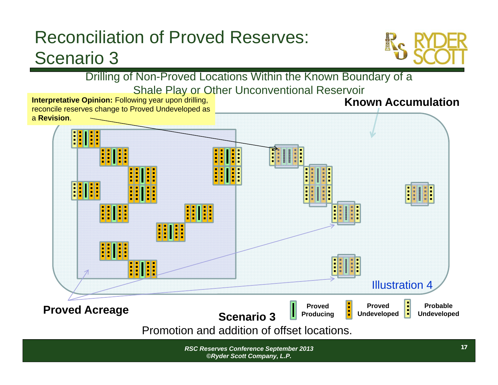

Drilling of Non-Proved Locations Within the Known Boundary of a Shale Play or Other Unconventional Reservoir

**Interpretative Opinion: Following year upon drilling, Known Accumulation**reconcile reserves change to Proved Undeveloped as a **Revision**. HI 88 I SE <u> : 111:</u> <u>HIII</u> Illustration 4**Proved Acreage Proved Acreage Examplement Acreage Examplement Acreage Examplement Acre Companion 2 Undeveloped Undeveloped Undeveloped Proved Proved Scenario 3Producing Undeveloped**

Promotion and addition of offset locations.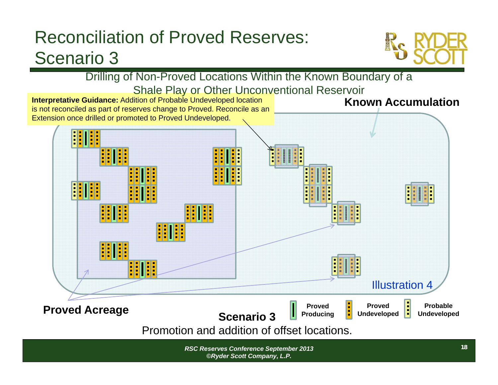

Drilling of Non-Proved Locations Within the Known Boundary of a Shale Play or Other Unconventional Reservoir

**Interpretative Guidance:** Addition of Probable Undeveloped location is not reconciled as part of reserves change to Proved. Reconcile as an Extension once drilled or promoted to Proved Undeveloped.

**Known Accumulation**

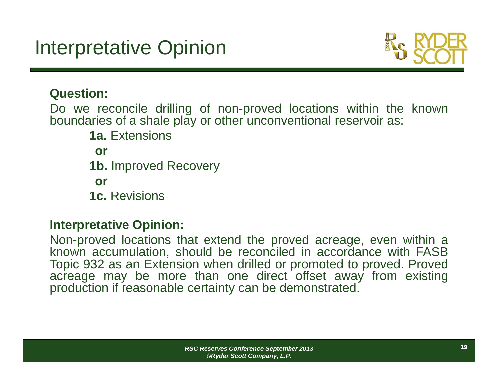

#### **Question:**

Do we reconcile drilling of non-proved locations within the known boundaries of <sup>a</sup> shale play or other unconventional reservoir as:

**1a.** Extensions**or1b.** Improved Recovery **or1c.** Revisions

### **Interpretative Opinion:**

Non-proved locations that extend the proved acreage, even within <sup>a</sup> known accumulation, should be reconciled in accordance with FASB Topic 932 as an Extension when drilled or promoted to proved. Proved acreage may be more than one direct offset away from existing production if reasonable certainty can be demonstrated.